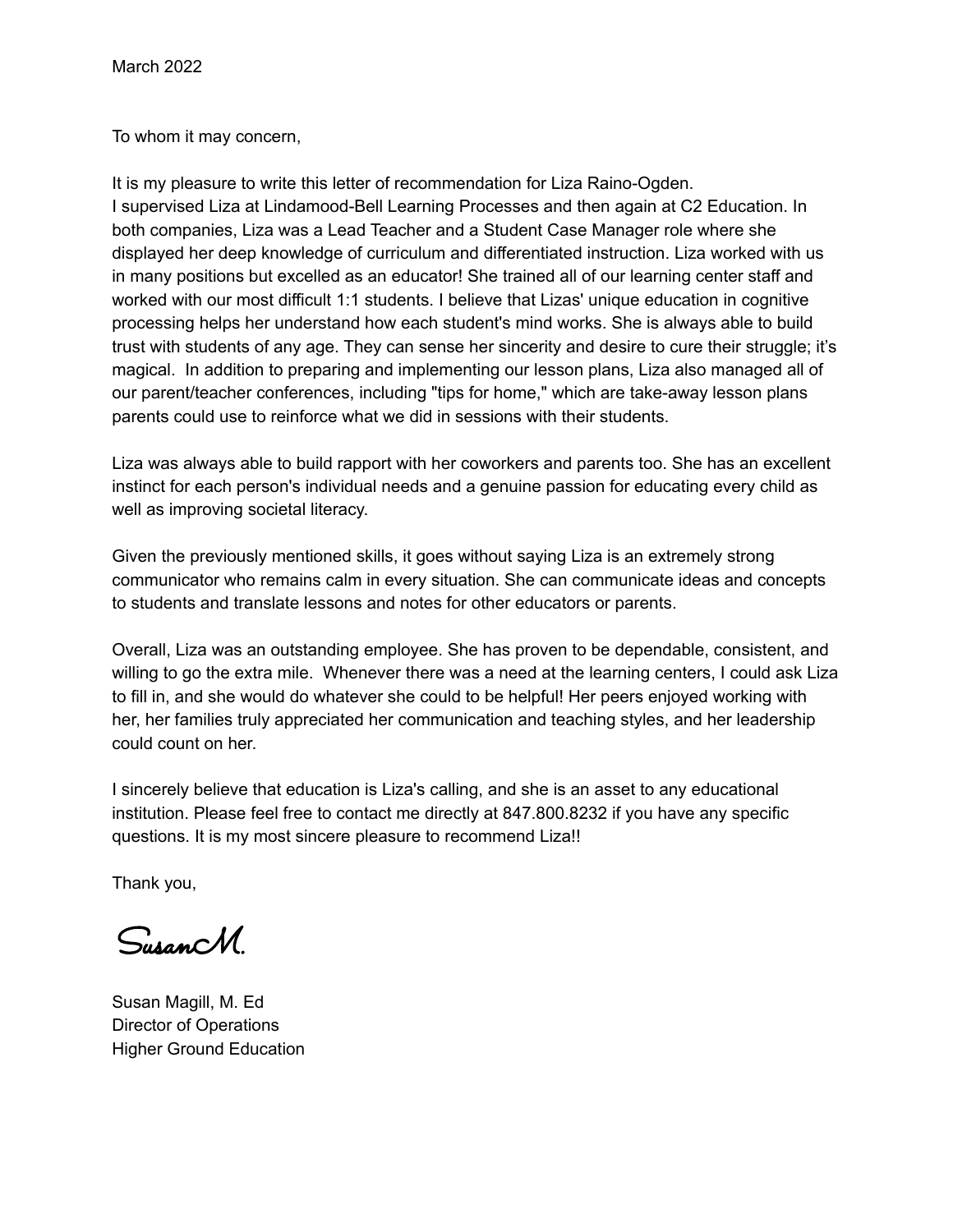To whom it may concern,

It is my pleasure to write this letter of recommendation for Liza Raino-Ogden. I supervised Liza at Lindamood-Bell Learning Processes and then again at C2 Education. In both companies, Liza was a Lead Teacher and a Student Case Manager role where she displayed her deep knowledge of curriculum and differentiated instruction. Liza worked with us in many positions but excelled as an educator! She trained all of our learning center staff and worked with our most difficult 1:1 students. I believe that Lizas' unique education in cognitive processing helps her understand how each student's mind works. She is always able to build trust with students of any age. They can sense her sincerity and desire to cure their struggle; it's magical. In addition to preparing and implementing our lesson plans, Liza also managed all of our parent/teacher conferences, including "tips for home," which are take-away lesson plans parents could use to reinforce what we did in sessions with their students.

Liza was always able to build rapport with her coworkers and parents too. She has an excellent instinct for each person's individual needs and a genuine passion for educating every child as well as improving societal literacy.

Given the previously mentioned skills, it goes without saying Liza is an extremely strong communicator who remains calm in every situation. She can communicate ideas and concepts to students and translate lessons and notes for other educators or parents.

Overall, Liza was an outstanding employee. She has proven to be dependable, consistent, and willing to go the extra mile. Whenever there was a need at the learning centers, I could ask Liza to fill in, and she would do whatever she could to be helpful! Her peers enjoyed working with her, her families truly appreciated her communication and teaching styles, and her leadership could count on her.

I sincerely believe that education is Liza's calling, and she is an asset to any educational institution. Please feel free to contact me directly at 847.800.8232 if you have any specific questions. It is my most sincere pleasure to recommend Liza!!

Thank you,

SusanM.

Susan Magill, M. Ed Director of Operations Higher Ground Education